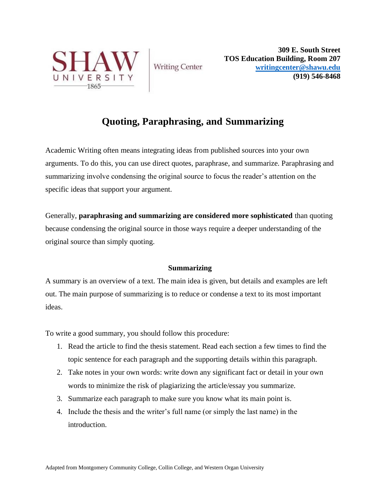

**Writing Center** 

**309 E. South Street TOS Education Building, Room 207 [writingcenter@shawu.edu](mailto:writingcenter@shawu.edu) (919) 546-8468**

# **Quoting, Paraphrasing, and Summarizing**

Academic Writing often means integrating ideas from published sources into your own arguments. To do this, you can use direct quotes, paraphrase, and summarize. Paraphrasing and summarizing involve condensing the original source to focus the reader's attention on the specific ideas that support your argument.

Generally, **paraphrasing and summarizing are considered more sophisticated** than quoting because condensing the original source in those ways require a deeper understanding of the original source than simply quoting.

# **Summarizing**

A summary is an overview of a text. The main idea is given, but details and examples are left out. The main purpose of summarizing is to reduce or condense a text to its most important ideas.

To write a good summary, you should follow this procedure:

- 1. Read the article to find the thesis statement. Read each section a few times to find the topic sentence for each paragraph and the supporting details within this paragraph.
- 2. Take notes in your own words: write down any significant fact or detail in your own words to minimize the risk of plagiarizing the article/essay you summarize.
- 3. Summarize each paragraph to make sure you know what its main point is.
- 4. Include the thesis and the writer's full name (or simply the last name) in the introduction.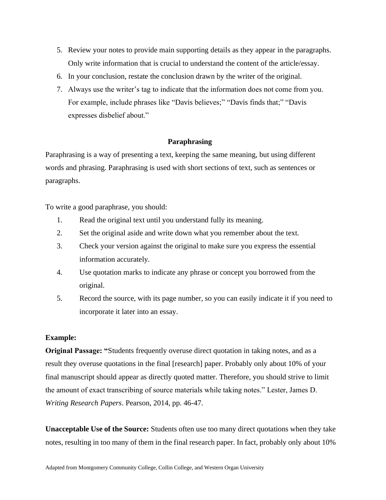- 5. Review your notes to provide main supporting details as they appear in the paragraphs. Only write information that is crucial to understand the content of the article/essay.
- 6. In your conclusion, restate the conclusion drawn by the writer of the original.
- 7. Always use the writer's tag to indicate that the information does not come from you. For example, include phrases like "Davis believes;" "Davis finds that;" "Davis expresses disbelief about."

## **Paraphrasing**

Paraphrasing is a way of presenting a text, keeping the same meaning, but using different words and phrasing. Paraphrasing is used with short sections of text, such as sentences or paragraphs.

To write a good paraphrase, you should:

- 1. Read the original text until you understand fully its meaning.
- 2. Set the original aside and write down what you remember about the text.
- 3. Check your version against the original to make sure you express the essential information accurately.
- 4. Use quotation marks to indicate any phrase or concept you borrowed from the original.
- 5. Record the source, with its page number, so you can easily indicate it if you need to incorporate it later into an essay.

# **Example:**

**Original Passage: "**Students frequently overuse direct quotation in taking notes, and as a result they overuse quotations in the final [research] paper. Probably only about 10% of your final manuscript should appear as directly quoted matter. Therefore, you should strive to limit the amount of exact transcribing of source materials while taking notes." Lester, James D. *Writing Research Papers*. Pearson, 2014, pp. 46-47.

**Unacceptable Use of the Source:** Students often use too many direct quotations when they take notes, resulting in too many of them in the final research paper. In fact, probably only about 10%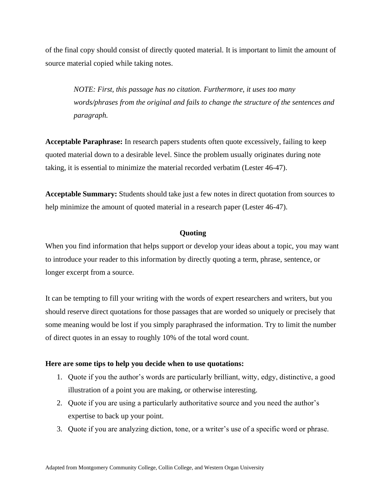of the final copy should consist of directly quoted material. It is important to limit the amount of source material copied while taking notes.

*NOTE: First, this passage has no citation. Furthermore, it uses too many words/phrases from the original and fails to change the structure of the sentences and paragraph.*

**Acceptable Paraphrase:** In research papers students often quote excessively, failing to keep quoted material down to a desirable level. Since the problem usually originates during note taking, it is essential to minimize the material recorded verbatim (Lester 46-47).

**Acceptable Summary:** Students should take just a few notes in direct quotation from sources to help minimize the amount of quoted material in a research paper (Lester 46-47).

## **Quoting**

When you find information that helps support or develop your ideas about a topic, you may want to introduce your reader to this information by directly quoting a term, phrase, sentence, or longer excerpt from a source.

It can be tempting to fill your writing with the words of expert researchers and writers, but you should reserve direct quotations for those passages that are worded so uniquely or precisely that some meaning would be lost if you simply paraphrased the information. Try to limit the number of direct quotes in an essay to roughly 10% of the total word count.

## **Here are some tips to help you decide when to use quotations:**

- 1. Quote if you the author's words are particularly brilliant, witty, edgy, distinctive, a good illustration of a point you are making, or otherwise interesting.
- 2. Quote if you are using a particularly authoritative source and you need the author's expertise to back up your point.
- 3. Quote if you are analyzing diction, tone, or a writer's use of a specific word or phrase.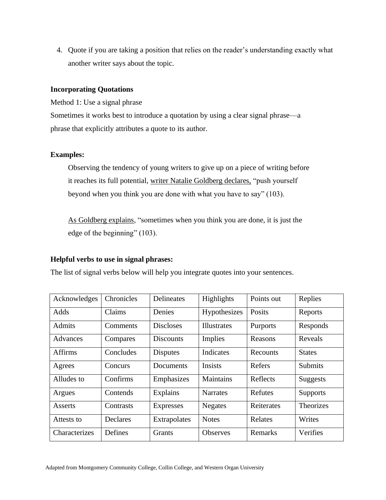4. Quote if you are taking a position that relies on the reader's understanding exactly what another writer says about the topic.

## **Incorporating Quotations**

Method 1: Use a signal phrase

Sometimes it works best to introduce a quotation by using a clear signal phrase—a phrase that explicitly attributes a quote to its author.

## **Examples:**

Observing the tendency of young writers to give up on a piece of writing before it reaches its full potential, writer Natalie Goldberg declares, "push yourself beyond when you think you are done with what you have to say" (103).

As Goldberg explains, "sometimes when you think you are done, it is just the edge of the beginning" (103).

## **Helpful verbs to use in signal phrases:**

The list of signal verbs below will help you integrate quotes into your sentences.

| Acknowledges   | Chronicles | Delineates       | Highlights      | Points out | Replies          |
|----------------|------------|------------------|-----------------|------------|------------------|
| Adds           | Claims     | Denies           | Hypothesizes    | Posits     | Reports          |
| <b>Admits</b>  | Comments   | <b>Discloses</b> | Illustrates     | Purports   | Responds         |
| Advances       | Compares   | <b>Discounts</b> | Implies         | Reasons    | Reveals          |
| <b>Affirms</b> | Concludes  | <b>Disputes</b>  | Indicates       | Recounts   | <b>States</b>    |
| Agrees         | Concurs    | Documents        | Insists         | Refers     | Submits          |
| Alludes to     | Confirms   | Emphasizes       | Maintains       | Reflects   | <b>Suggests</b>  |
| Argues         | Contends   | Explains         | <b>Narrates</b> | Refutes    | <b>Supports</b>  |
| Asserts        | Contrasts  | <b>Expresses</b> | <b>Negates</b>  | Reiterates | <b>Theorizes</b> |
| Attests to     | Declares   | Extrapolates     | <b>Notes</b>    | Relates    | Writes           |
| Characterizes  | Defines    | Grants           | <b>Observes</b> | Remarks    | Verifies         |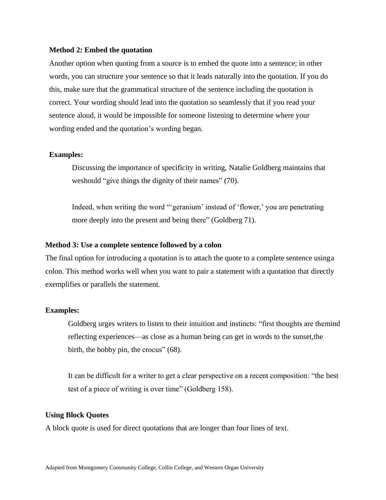#### **Method 2: Embed the quotation**

Another option when quoting from a source is to embed the quote into a sentence; in other words, you can structure your sentence so that it leads naturally into the quotation. If you do this, make sure that the grammatical structure of the sentence including the quotation is correct. Your wording should lead into the quotation so seamlessly that if you read your sentence aloud, it would be impossible for someone listening to determine where your wording ended and the quotation's wording began.

#### **Examples:**

Discussing the importance of specificity in writing, Natalie Goldberg maintains that weshould "give things the dignity of their names" (70).

Indeed, when writing the word "'geranium' instead of 'flower,' you are penetrating more deeply into the present and being there" (Goldberg 71).

#### **Method 3: Use a complete sentence followed by a colon**

The final option for introducing a quotation is to attach the quote to a complete sentence usinga colon. This method works well when you want to pair a statement with a quotation that directly exemplifies or parallels the statement.

### **Examples:**

Goldberg urges writers to listen to their intuition and instincts: "first thoughts are themind reflecting experiences—as close as a human being can get in words to the sunset,the birth, the bobby pin, the crocus" (68).

It can be difficult for a writer to get a clear perspective on a recent composition: "the best test of a piece of writing is over time" (Goldberg 158).

#### **Using Block Quotes**

A block quote is used for direct quotations that are longer than four lines of text.